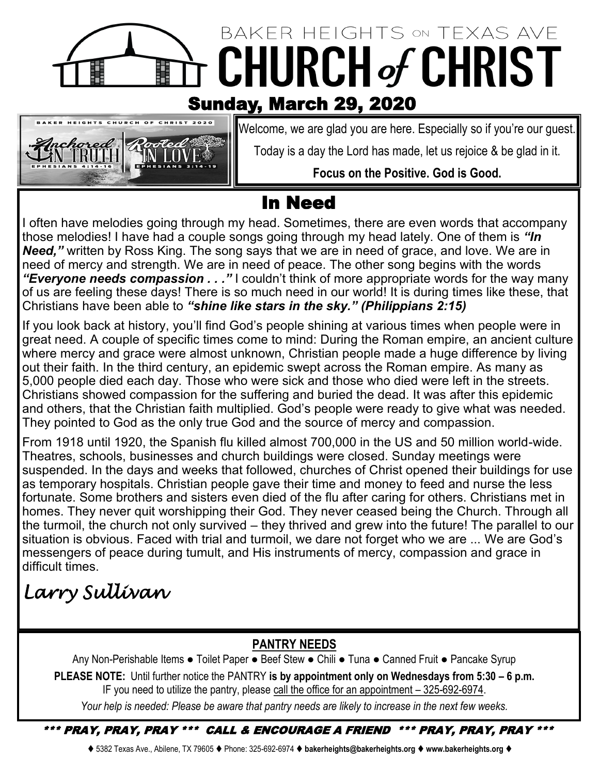## BAKER HEIGHTS ON TEXAS AVE **CHURCH of CHRIST** ili<br>Hi Sunday, March 29, 2020



Welcome, we are glad you are here. Especially so if you're our guest.

Today is a day the Lord has made, let us rejoice & be glad in it.

### **Focus on the Positive. God is Good.**

## In Need

I often have melodies going through my head. Sometimes, there are even words that accompany those melodies! I have had a couple songs going through my head lately. One of them is *"In Need,"* written by Ross King. The song says that we are in need of grace, and love. We are in need of mercy and strength. We are in need of peace. The other song begins with the words "Everyone needs compassion . . ." I couldn't think of more appropriate words for the way many of us are feeling these days! There is so much need in our world! It is during times like these, that Christians have been able to *"shine like stars in the sky." (Philippians 2:15)*

If you look back at history, you'll find God's people shining at various times when people were in great need. A couple of specific times come to mind: During the Roman empire, an ancient culture where mercy and grace were almost unknown, Christian people made a huge difference by living out their faith. In the third century, an epidemic swept across the Roman empire. As many as 5,000 people died each day. Those who were sick and those who died were left in the streets. Christians showed compassion for the suffering and buried the dead. It was after this epidemic and others, that the Christian faith multiplied. God's people were ready to give what was needed. They pointed to God as the only true God and the source of mercy and compassion.

From 1918 until 1920, the Spanish flu killed almost 700,000 in the US and 50 million world-wide. Theatres, schools, businesses and church buildings were closed. Sunday meetings were suspended. In the days and weeks that followed, churches of Christ opened their buildings for use as temporary hospitals. Christian people gave their time and money to feed and nurse the less fortunate. Some brothers and sisters even died of the flu after caring for others. Christians met in homes. They never quit worshipping their God. They never ceased being the Church. Through all the turmoil, the church not only survived – they thrived and grew into the future! The parallel to our situation is obvious. Faced with trial and turmoil, we dare not forget who we are ... We are God's messengers of peace during tumult, and His instruments of mercy, compassion and grace in difficult times.

# *Larry Sullivan*

### **PANTRY NEEDS**

Any Non-Perishable Items ● Toilet Paper ● Beef Stew ● Chili ● Tuna ● Canned Fruit ● Pancake Syrup **PLEASE NOTE:** Until further notice the PANTRY **is by appointment only on Wednesdays from 5:30 – 6 p.m.**  IF you need to utilize the pantry, please call the office for an appointment – 325-692-6974.

*Your help is needed: Please be aware that pantry needs are likely to increase in the next few weeks.*

\*\*\* PRAY, PRAY, PRAY \*\*\* CALL & ENCOURAGE A FRIEND \*\*\* PRAY, PRAY, PRAY \*\*\*

⧫ 5382 Texas Ave., Abilene, TX 79605 ⧫ Phone: 325-692-6974 ⧫ **bakerheights@bakerheights.org** ⧫ **www.bakerheights.org** ⧫